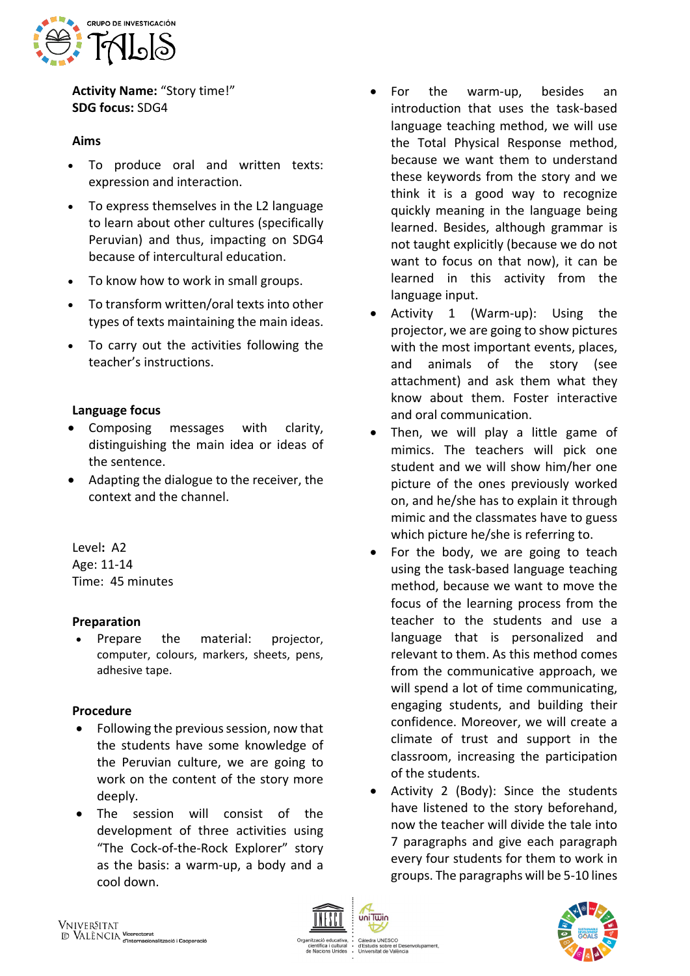

**Activity Name:** "Story time!" **SDG focus:** SDG4

### **Aims**

- To produce oral and written texts: expression and interaction.
- To express themselves in the L2 language to learn about other cultures (specifically Peruvian) and thus, impacting on SDG4 because of intercultural education.
- To know how to work in small groups.
- To transform written/oral texts into other types of texts maintaining the main ideas.
- To carry out the activities following the teacher's instructions.

## **Language focus**

- Composing messages with clarity, distinguishing the main idea or ideas of the sentence.
- Adapting the dialogue to the receiver, the context and the channel.

Level**:** A2 Age: 11-14 Time: 45 minutes

# **Preparation**

• Prepare the material: projector, computer, colours, markers, sheets, pens, adhesive tape.

#### **Procedure**

- Following the previous session, now that the students have some knowledge of the Peruvian culture, we are going to work on the content of the story more deeply.
- The session will consist of the development of three activities using "The Cock-of-the-Rock Explorer" story as the basis: a warm-up, a body and a cool down.
- For the warm-up, besides an introduction that uses the task-based language teaching method, we will use the Total Physical Response method, because we want them to understand these keywords from the story and we think it is a good way to recognize quickly meaning in the language being learned. Besides, although grammar is not taught explicitly (because we do not want to focus on that now), it can be learned in this activity from the language input.
- Activity 1 (Warm-up): Using the projector, we are going to show pictures with the most important events, places, and animals of the story (see attachment) and ask them what they know about them. Foster interactive and oral communication.
- Then, we will play a little game of mimics. The teachers will pick one student and we will show him/her one picture of the ones previously worked on, and he/she has to explain it through mimic and the classmates have to guess which picture he/she is referring to.
- For the body, we are going to teach using the task-based language teaching method, because we want to move the focus of the learning process from the teacher to the students and use a language that is personalized and relevant to them. As this method comes from the communicative approach, we will spend a lot of time communicating, engaging students, and building their confidence. Moreover, we will create a climate of trust and support in the classroom, increasing the participation of the students.
- Activity 2 (Body): Since the students have listened to the story beforehand, now the teacher will divide the tale into 7 paragraphs and give each paragraph every four students for them to work in groups. The paragraphs will be 5-10 lines





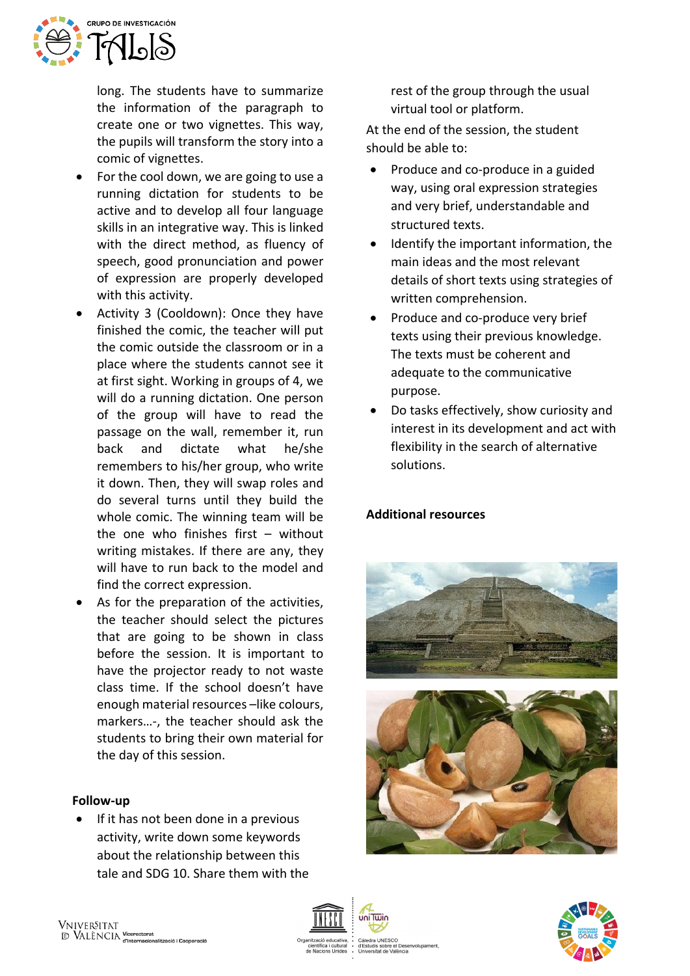

long. The students have to summarize the information of the paragraph to create one or two vignettes. This way, the pupils will transform the story into a comic of vignettes.

- For the cool down, we are going to use a running dictation for students to be active and to develop all four language skills in an integrative way. This is linked with the direct method, as fluency of speech, good pronunciation and power of expression are properly developed with this activity.
- Activity 3 (Cooldown): Once they have finished the comic, the teacher will put the comic outside the classroom or in a place where the students cannot see it at first sight. Working in groups of 4, we will do a running dictation. One person of the group will have to read the passage on the wall, remember it, run back and dictate what he/she remembers to his/her group, who write it down. Then, they will swap roles and do several turns until they build the whole comic. The winning team will be the one who finishes first – without writing mistakes. If there are any, they will have to run back to the model and find the correct expression.
- As for the preparation of the activities, the teacher should select the pictures that are going to be shown in class before the session. It is important to have the projector ready to not waste class time. If the school doesn't have enough material resources –like colours, markers…-, the teacher should ask the students to bring their own material for the day of this session.

#### **Follow-up**

• If it has not been done in a previous activity, write down some keywords about the relationship between this tale and SDG 10. Share them with the

rest of the group through the usual virtual tool or platform.

At the end of the session, the student should be able to:

- Produce and co-produce in a guided way, using oral expression strategies and very brief, understandable and structured texts.
- Identify the important information, the main ideas and the most relevant details of short texts using strategies of written comprehension.
- Produce and co-produce very brief texts using their previous knowledge. The texts must be coherent and adequate to the communicative purpose.
- Do tasks effectively, show curiosity and interest in its development and act with flexibility in the search of alternative solutions.

#### **Additional resources**







ب<br>⊌ Des uis sobre el Des<br>sitat de València